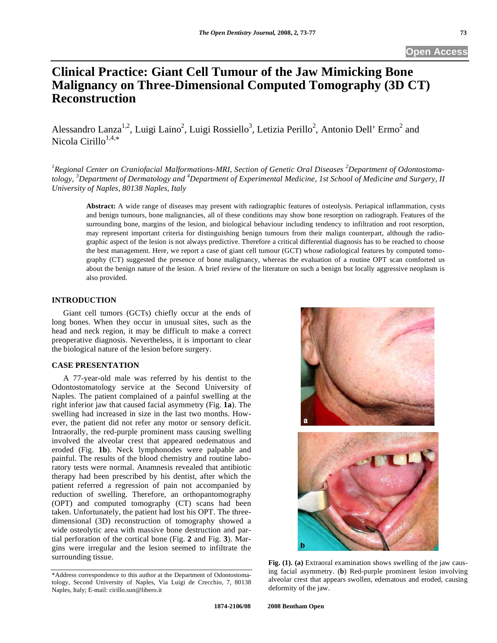# **Clinical Practice: Giant Cell Tumour of the Jaw Mimicking Bone Malignancy on Three-Dimensional Computed Tomography (3D CT) Reconstruction**

Alessandro Lanza<sup>1,2</sup>, Luigi Laino<sup>2</sup>, Luigi Rossiello<sup>3</sup>, Letizia Perillo<sup>2</sup>, Antonio Dell' Ermo<sup>2</sup> and Nicola Cirillo $1,4,*$ 

<sup>1</sup> Regional Center on Craniofacial Malformations-MRI, Section of Genetic Oral Diseases <sup>2</sup> Department of Odontostoma*tology, <sup>3</sup> Department of Dermatology and <sup>4</sup> Department of Experimental Medicine, 1st School of Medicine and Surgery, II University of Naples, 80138 Naples, Italy* 

**Abstract:** A wide range of diseases may present with radiographic features of osteolysis. Periapical inflammation, cysts and benign tumours, bone malignancies, all of these conditions may show bone resorption on radiograph. Features of the surrounding bone, margins of the lesion, and biological behaviour including tendency to infiltration and root resorption, may represent important criteria for distinguishing benign tumours from their malign counterpart, although the radiographic aspect of the lesion is not always predictive. Therefore a critical differential diagnosis has to be reached to choose the best management. Here, we report a case of giant cell tumour (GCT) whose radiological features by computed tomography (CT) suggested the presence of bone malignancy, whereas the evaluation of a routine OPT scan comforted us about the benign nature of the lesion. A brief review of the literature on such a benign but locally aggressive neoplasm is also provided.

## **INTRODUCTION**

 Giant cell tumors (GCTs) chiefly occur at the ends of long bones. When they occur in unusual sites, such as the head and neck region, it may be difficult to make a correct preoperative diagnosis. Nevertheless, it is important to clear the biological nature of the lesion before surgery.

## **CASE PRESENTATION**

 A 77-year-old male was referred by his dentist to the Odontostomatology service at the Second University of Naples. The patient complained of a painful swelling at the right inferior jaw that caused facial asymmetry (Fig. **1a**). The swelling had increased in size in the last two months. However, the patient did not refer any motor or sensory deficit. Intraorally, the red-purple prominent mass causing swelling involved the alveolar crest that appeared oedematous and eroded (Fig. **1b**). Neck lymphonodes were palpable and painful. The results of the blood chemistry and routine laboratory tests were normal. Anamnesis revealed that antibiotic therapy had been prescribed by his dentist, after which the patient referred a regression of pain not accompanied by reduction of swelling. Therefore, an orthopantomography (OPT) and computed tomography (CT) scans had been taken. Unfortunately, the patient had lost his OPT. The threedimensional (3D) reconstruction of tomography showed a wide osteolytic area with massive bone destruction and partial perforation of the cortical bone (Fig. **2** and Fig. **3**). Margins were irregular and the lesion seemed to infiltrate the surrounding tissue.



Fig. (1). (a) Extraoral examination shows swelling of the jaw causing facial asymmetry. (**b**) Red-purple prominent lesion involving alveolar crest that appears swollen, edematous and eroded, causing deformity of the jaw.

<sup>\*</sup>Address correspondence to this author at the Department of Odontostomatology, Second University of Naples, Via Luigi de Crecchio, 7, 80138 Naples, Italy; E-mail: cirillo.sun@libero.it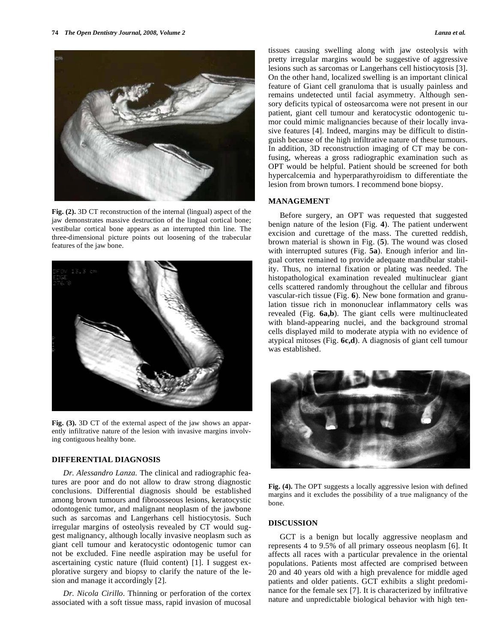



**Fig. (2).** 3D CT reconstruction of the internal (lingual) aspect of the jaw demonstrates massive destruction of the lingual cortical bone; vestibular cortical bone appears as an interrupted thin line. The three-dimensional picture points out loosening of the trabecular features of the jaw bone.



**Fig. (3).** 3D CT of the external aspect of the jaw shows an apparently infiltrative nature of the lesion with invasive margins involving contiguous healthy bone.

## **DIFFERENTIAL DIAGNOSIS**

 *Dr. Alessandro Lanza.* The clinical and radiographic features are poor and do not allow to draw strong diagnostic conclusions. Differential diagnosis should be established among brown tumours and fibroosseous lesions, keratocystic odontogenic tumor, and malignant neoplasm of the jawbone such as sarcomas and Langerhans cell histiocytosis. Such irregular margins of osteolysis revealed by CT would suggest malignancy, although locally invasive neoplasm such as giant cell tumour and keratocystic odontogenic tumor can not be excluded. Fine needle aspiration may be useful for ascertaining cystic nature (fluid content) [1]. I suggest explorative surgery and biopsy to clarify the nature of the lesion and manage it accordingly [2].

 *Dr. Nicola Cirillo.* Thinning or perforation of the cortex associated with a soft tissue mass, rapid invasion of mucosal tissues causing swelling along with jaw osteolysis with pretty irregular margins would be suggestive of aggressive lesions such as sarcomas or Langerhans cell histiocytosis [3]. On the other hand, localized swelling is an important clinical feature of Giant cell granuloma that is usually painless and remains undetected until facial asymmetry. Although sensory deficits typical of osteosarcoma were not present in our patient, giant cell tumour and keratocystic odontogenic tumor could mimic malignancies because of their locally invasive features [4]. Indeed, margins may be difficult to distinguish because of the high infiltrative nature of these tumours. In addition, 3D reconstruction imaging of CT may be confusing, whereas a gross radiographic examination such as OPT would be helpful. Patient should be screened for both hypercalcemia and hyperparathyroidism to differentiate the lesion from brown tumors. I recommend bone biopsy.

### **MANAGEMENT**

 Before surgery, an OPT was requested that suggested benign nature of the lesion (Fig. **4**). The patient underwent excision and curettage of the mass. The curetted reddish, brown material is shown in Fig. (**5**). The wound was closed with interrupted sutures (Fig. **5a**). Enough inferior and lingual cortex remained to provide adequate mandibular stability. Thus, no internal fixation or plating was needed. The histopathological examination revealed multinuclear giant cells scattered randomly throughout the cellular and fibrous vascular-rich tissue (Fig. **6**). New bone formation and granulation tissue rich in mononuclear inflammatory cells was revealed (Fig. **6a,b**). The giant cells were multinucleated with bland-appearing nuclei, and the background stromal cells displayed mild to moderate atypia with no evidence of atypical mitoses (Fig. **6c,d**). A diagnosis of giant cell tumour was established.



Fig. (4). The OPT suggests a locally aggressive lesion with defined margins and it excludes the possibility of a true malignancy of the bone.

#### **DISCUSSION**

 GCT is a benign but locally aggressive neoplasm and represents 4 to 9.5% of all primary osseous neoplasm [6]. It affects all races with a particular prevalence in the oriental populations. Patients most affected are comprised between 20 and 40 years old with a high prevalence for middle aged patients and older patients. GCT exhibits a slight predominance for the female sex [7]. It is characterized by infiltrative nature and unpredictable biological behavior with high ten-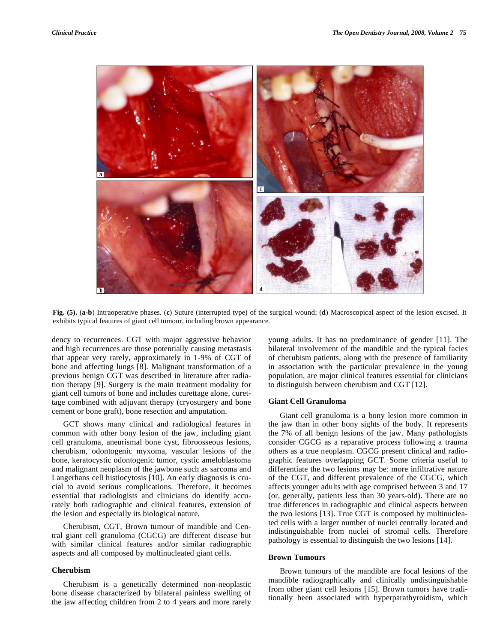

**Fig. (5).** (**a-b**) Intraoperative phases. (**c**) Suture (interrupted type) of the surgical wound; (**d**) Macroscopical aspect of the lesion excised. It exhibits typical features of giant cell tumour, including brown appearance.

dency to recurrences. CGT with major aggressive behavior and high recurrences are those potentially causing metastasis that appear very rarely, approximately in 1-9% of CGT of bone and affecting lungs [8]. Malignant transformation of a previous benign CGT was described in literature after radiation therapy [9]. Surgery is the main treatment modality for giant cell tumors of bone and includes curettage alone, curettage combined with adjuvant therapy (cryosurgery and bone cement or bone graft), bone resection and amputation.

 GCT shows many clinical and radiological features in common with other bony lesion of the jaw, including giant cell granuloma, aneurismal bone cyst, fibroosseous lesions, cherubism, odontogenic myxoma, vascular lesions of the bone, keratocystic odontogenic tumor, cystic ameloblastoma and malignant neoplasm of the jawbone such as sarcoma and Langerhans cell histiocytosis [10]. An early diagnosis is crucial to avoid serious complications. Therefore, it becomes essential that radiologists and clinicians do identify accurately both radiographic and clinical features, extension of the lesion and especially its biological nature.

 Cherubism, CGT, Brown tumour of mandible and Central giant cell granuloma (CGCG) are different disease but with similar clinical features and/or similar radiographic aspects and all composed by multinucleated giant cells.

#### **Cherubism**

Cherubism is a genetically determined non-neoplastic bone disease characterized by bilateral painless swelling of the jaw affecting children from 2 to 4 years and more rarely

young adults. It has no predominance of gender [11]. The bilateral involvement of the mandible and the typical facies of cherubism patients, along with the presence of familiarity in association with the particular prevalence in the young population, are major clinical features essential for clinicians to distinguish between cherubism and CGT [12].

## **Giant Cell Granuloma**

 Giant cell granuloma is a bony lesion more common in the jaw than in other bony sights of the body. It represents the 7% of all benign lesions of the jaw. Many pathologists consider CGCG as a reparative process following a trauma others as a true neoplasm. CGCG present clinical and radiographic features overlapping GCT. Some criteria useful to differentiate the two lesions may be: more infiltrative nature of the CGT, and different prevalence of the CGCG, which affects younger adults with age comprised between 3 and 17 (or, generally, patients less than 30 years-old). There are no true differences in radiographic and clinical aspects between the two lesions [13]. True CGT is composed by multinucleated cells with a larger number of nuclei centrally located and indistinguishable from nuclei of stromal cells. Therefore pathology is essential to distinguish the two lesions [14].

#### **Brown Tumours**

Brown tumours of the mandible are focal lesions of the mandible radiographically and clinically undistinguishable from other giant cell lesions [15]. Brown tumors have traditionally been associated with hyperparathyroidism, which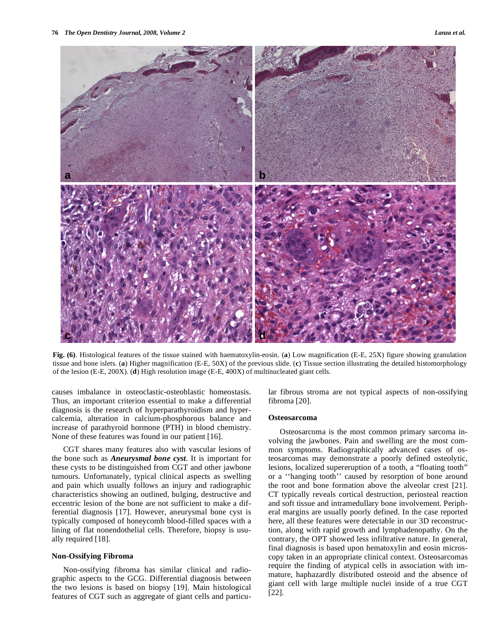

**Fig. (6)**. Histological features of the tissue stained with haematoxylin-eosin. (**a**) Low magnification (E-E, 25X) figure showing granulation tissue and bone islets. (**a**) Higher magnification (E-E, 50X) of the previous slide. (**c**) Tissue section illustrating the detailed histomorphology of the lesion (E-E, 200X). (**d**) High resolution image (E-E, 400X) of multinucleated giant cells.

causes imbalance in osteoclastic-osteoblastic homeostasis. Thus, an important criterion essential to make a differential diagnosis is the research of hyperparathyroidism and hypercalcemia, alteration in calcium-phosphorous balance and increase of parathyroid hormone (PTH) in blood chemistry. None of these features was found in our patient [16].

 CGT shares many features also with vascular lesions of the bone such as *Aneurysmal bone cyst*. It is important for these cysts to be distinguished from CGT and other jawbone tumours. Unfortunately, typical clinical aspects as swelling and pain which usually follows an injury and radiographic characteristics showing an outlined, bulging, destructive and eccentric lesion of the bone are not sufficient to make a differential diagnosis [17]. However, aneurysmal bone cyst is typically composed of honeycomb blood-filled spaces with a lining of flat nonendothelial cells. Therefore, biopsy is usually required [18].

## **Non-Ossifying Fibroma**

Non-ossifying fibroma has similar clinical and radiographic aspects to the GCG. Differential diagnosis between the two lesions is based on biopsy [19]. Main histological features of CGT such as aggregate of giant cells and particular fibrous stroma are not typical aspects of non-ossifying fibroma [20].

#### **Osteosarcoma**

Osteosarcoma is the most common primary sarcoma involving the jawbones. Pain and swelling are the most common symptoms. Radiographically advanced cases of osteosarcomas may demonstrate a poorly defined osteolytic, lesions, localized supereruption of a tooth, a "floating tooth" or a ''hanging tooth'' caused by resorption of bone around the root and bone formation above the alveolar crest [21]. CT typically reveals cortical destruction, periosteal reaction and soft tissue and intramedullary bone involvement. Peripheral margins are usually poorly defined. In the case reported here, all these features were detectable in our 3D reconstruction, along with rapid growth and lymphadenopathy. On the contrary, the OPT showed less infiltrative nature. In general, final diagnosis is based upon hematoxylin and eosin microscopy taken in an appropriate clinical context. Osteosarcomas require the finding of atypical cells in association with immature, haphazardly distributed osteoid and the absence of giant cell with large multiple nuclei inside of a true CGT [22].